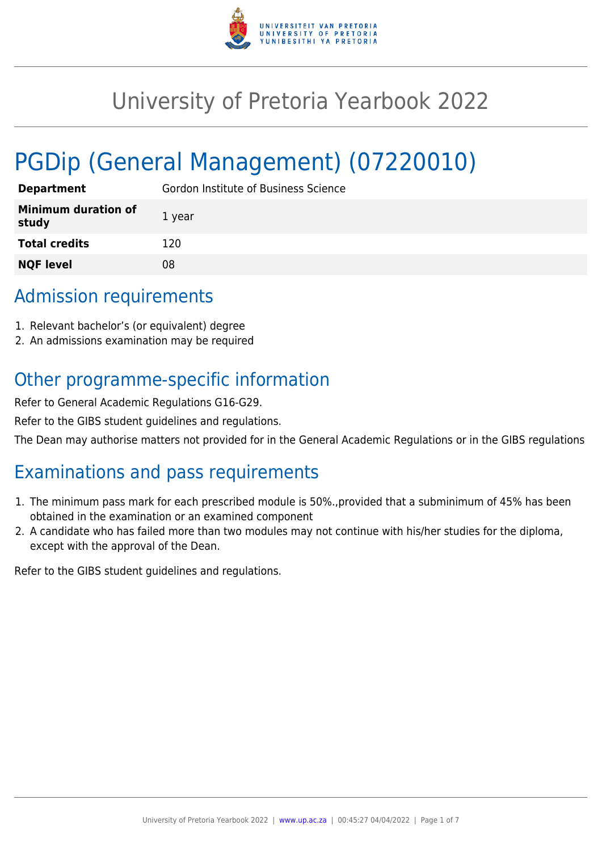

# University of Pretoria Yearbook 2022

# PGDip (General Management) (07220010)

| <b>Department</b>                   | Gordon Institute of Business Science |
|-------------------------------------|--------------------------------------|
| <b>Minimum duration of</b><br>study | 1 year                               |
| <b>Total credits</b>                | 120                                  |
| <b>NQF level</b>                    | 08                                   |

## Admission requirements

- 1. Relevant bachelor's (or equivalent) degree
- 2. An admissions examination may be required

# Other programme-specific information

Refer to General Academic Regulations G16-G29.

Refer to the GIBS student guidelines and regulations.

The Dean may authorise matters not provided for in the General Academic Regulations or in the GIBS regulations

# Examinations and pass requirements

- 1. The minimum pass mark for each prescribed module is 50%.,provided that a subminimum of 45% has been obtained in the examination or an examined component
- 2. A candidate who has failed more than two modules may not continue with his/her studies for the diploma, except with the approval of the Dean.

Refer to the GIBS student guidelines and regulations.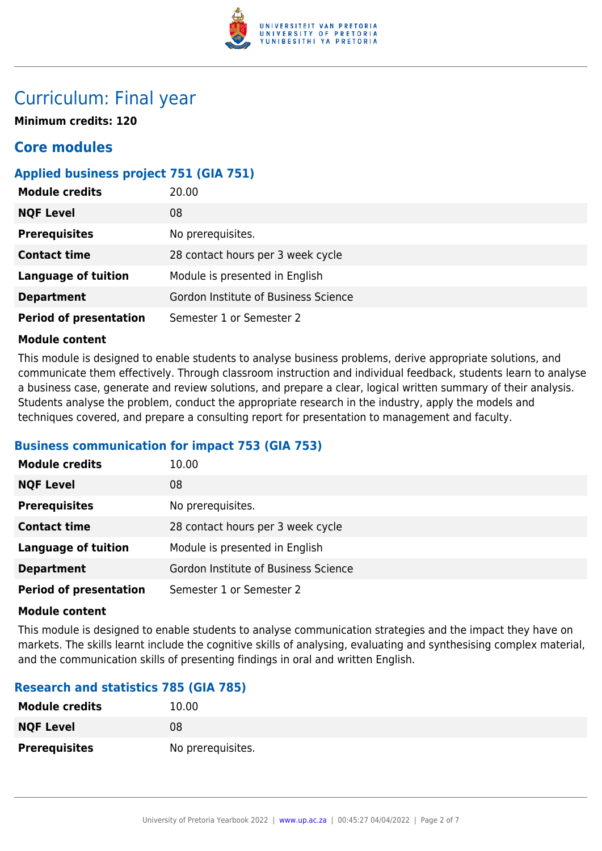

## Curriculum: Final year

**Minimum credits: 120**

### **Core modules**

### **Applied business project 751 (GIA 751)**

| <b>Module credits</b>         | 20.00                                |
|-------------------------------|--------------------------------------|
| <b>NQF Level</b>              | 08                                   |
| <b>Prerequisites</b>          | No prerequisites.                    |
| <b>Contact time</b>           | 28 contact hours per 3 week cycle    |
| <b>Language of tuition</b>    | Module is presented in English       |
| <b>Department</b>             | Gordon Institute of Business Science |
| <b>Period of presentation</b> | Semester 1 or Semester 2             |

#### **Module content**

This module is designed to enable students to analyse business problems, derive appropriate solutions, and communicate them effectively. Through classroom instruction and individual feedback, students learn to analyse a business case, generate and review solutions, and prepare a clear, logical written summary of their analysis. Students analyse the problem, conduct the appropriate research in the industry, apply the models and techniques covered, and prepare a consulting report for presentation to management and faculty.

### **Business communication for impact 753 (GIA 753)**

| <b>Module credits</b>         | 10.00                                |
|-------------------------------|--------------------------------------|
| <b>NQF Level</b>              | 08                                   |
| <b>Prerequisites</b>          | No prerequisites.                    |
| <b>Contact time</b>           | 28 contact hours per 3 week cycle    |
| <b>Language of tuition</b>    | Module is presented in English       |
| <b>Department</b>             | Gordon Institute of Business Science |
| <b>Period of presentation</b> | Semester 1 or Semester 2             |

#### **Module content**

This module is designed to enable students to analyse communication strategies and the impact they have on markets. The skills learnt include the cognitive skills of analysing, evaluating and synthesising complex material, and the communication skills of presenting findings in oral and written English.

### **Research and statistics 785 (GIA 785)**

| <b>Module credits</b> | 10.00             |
|-----------------------|-------------------|
| <b>NQF Level</b>      | 08                |
| <b>Prerequisites</b>  | No prerequisites. |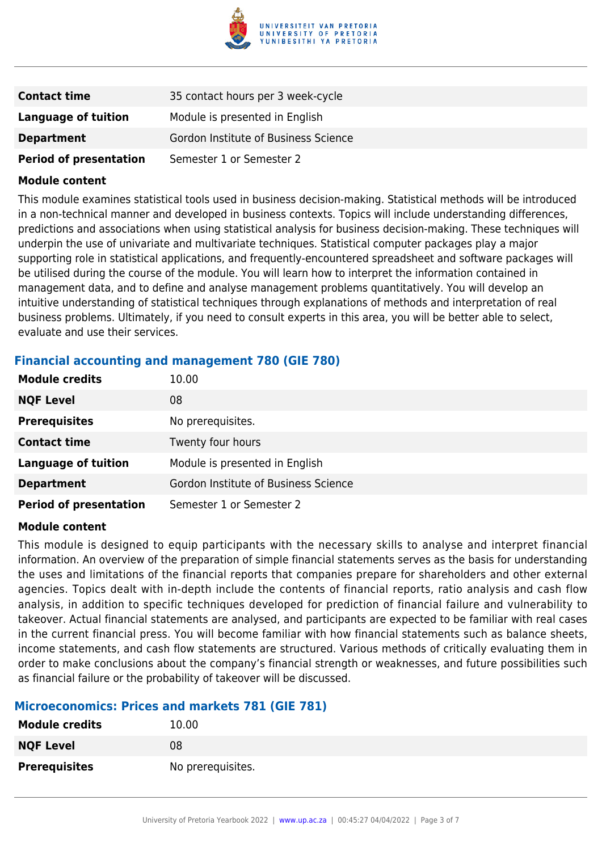

| <b>Contact time</b>           | 35 contact hours per 3 week-cycle    |
|-------------------------------|--------------------------------------|
| Language of tuition           | Module is presented in English       |
| <b>Department</b>             | Gordon Institute of Business Science |
| <b>Period of presentation</b> | Semester 1 or Semester 2             |

This module examines statistical tools used in business decision-making. Statistical methods will be introduced in a non-technical manner and developed in business contexts. Topics will include understanding differences, predictions and associations when using statistical analysis for business decision-making. These techniques will underpin the use of univariate and multivariate techniques. Statistical computer packages play a major supporting role in statistical applications, and frequently-encountered spreadsheet and software packages will be utilised during the course of the module. You will learn how to interpret the information contained in management data, and to define and analyse management problems quantitatively. You will develop an intuitive understanding of statistical techniques through explanations of methods and interpretation of real business problems. Ultimately, if you need to consult experts in this area, you will be better able to select, evaluate and use their services.

### **Financial accounting and management 780 (GIE 780)**

| <b>Module credits</b>         | 10.00                                |
|-------------------------------|--------------------------------------|
| <b>NQF Level</b>              | 08                                   |
| <b>Prerequisites</b>          | No prerequisites.                    |
| <b>Contact time</b>           | Twenty four hours                    |
| <b>Language of tuition</b>    | Module is presented in English       |
| <b>Department</b>             | Gordon Institute of Business Science |
| <b>Period of presentation</b> | Semester 1 or Semester 2             |

#### **Module content**

This module is designed to equip participants with the necessary skills to analyse and interpret financial information. An overview of the preparation of simple financial statements serves as the basis for understanding the uses and limitations of the financial reports that companies prepare for shareholders and other external agencies. Topics dealt with in-depth include the contents of financial reports, ratio analysis and cash flow analysis, in addition to specific techniques developed for prediction of financial failure and vulnerability to takeover. Actual financial statements are analysed, and participants are expected to be familiar with real cases in the current financial press. You will become familiar with how financial statements such as balance sheets, income statements, and cash flow statements are structured. Various methods of critically evaluating them in order to make conclusions about the company's financial strength or weaknesses, and future possibilities such as financial failure or the probability of takeover will be discussed.

### **Microeconomics: Prices and markets 781 (GIE 781)**

| <b>Module credits</b> | 10.00             |
|-----------------------|-------------------|
| <b>NQF Level</b>      | 08                |
| <b>Prerequisites</b>  | No prerequisites. |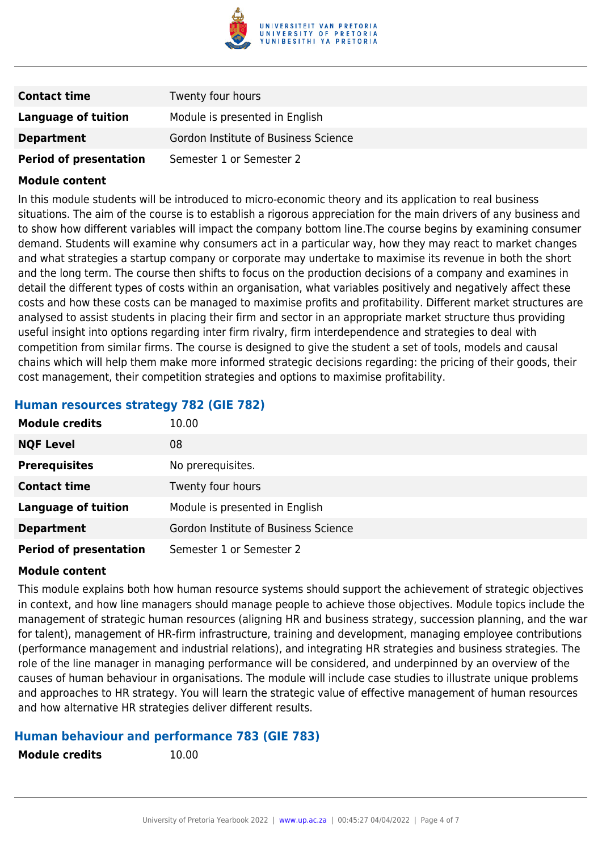

| <b>Contact time</b>           | Twenty four hours                    |
|-------------------------------|--------------------------------------|
| Language of tuition           | Module is presented in English       |
| <b>Department</b>             | Gordon Institute of Business Science |
| <b>Period of presentation</b> | Semester 1 or Semester 2             |

In this module students will be introduced to micro-economic theory and its application to real business situations. The aim of the course is to establish a rigorous appreciation for the main drivers of any business and to show how different variables will impact the company bottom line.The course begins by examining consumer demand. Students will examine why consumers act in a particular way, how they may react to market changes and what strategies a startup company or corporate may undertake to maximise its revenue in both the short and the long term. The course then shifts to focus on the production decisions of a company and examines in detail the different types of costs within an organisation, what variables positively and negatively affect these costs and how these costs can be managed to maximise profits and profitability. Different market structures are analysed to assist students in placing their firm and sector in an appropriate market structure thus providing useful insight into options regarding inter firm rivalry, firm interdependence and strategies to deal with competition from similar firms. The course is designed to give the student a set of tools, models and causal chains which will help them make more informed strategic decisions regarding: the pricing of their goods, their cost management, their competition strategies and options to maximise profitability.

### **Human resources strategy 782 (GIE 782)**

| <b>Module credits</b>         | 10.00                                |
|-------------------------------|--------------------------------------|
| <b>NQF Level</b>              | 08                                   |
| <b>Prerequisites</b>          | No prerequisites.                    |
| <b>Contact time</b>           | Twenty four hours                    |
| <b>Language of tuition</b>    | Module is presented in English       |
| <b>Department</b>             | Gordon Institute of Business Science |
| <b>Period of presentation</b> | Semester 1 or Semester 2             |

#### **Module content**

This module explains both how human resource systems should support the achievement of strategic objectives in context, and how line managers should manage people to achieve those objectives. Module topics include the management of strategic human resources (aligning HR and business strategy, succession planning, and the war for talent), management of HR-firm infrastructure, training and development, managing employee contributions (performance management and industrial relations), and integrating HR strategies and business strategies. The role of the line manager in managing performance will be considered, and underpinned by an overview of the causes of human behaviour in organisations. The module will include case studies to illustrate unique problems and approaches to HR strategy. You will learn the strategic value of effective management of human resources and how alternative HR strategies deliver different results.

### **Human behaviour and performance 783 (GIE 783)**

| <b>Module credits</b> |  |
|-----------------------|--|
|-----------------------|--|

**Module credits** 10.00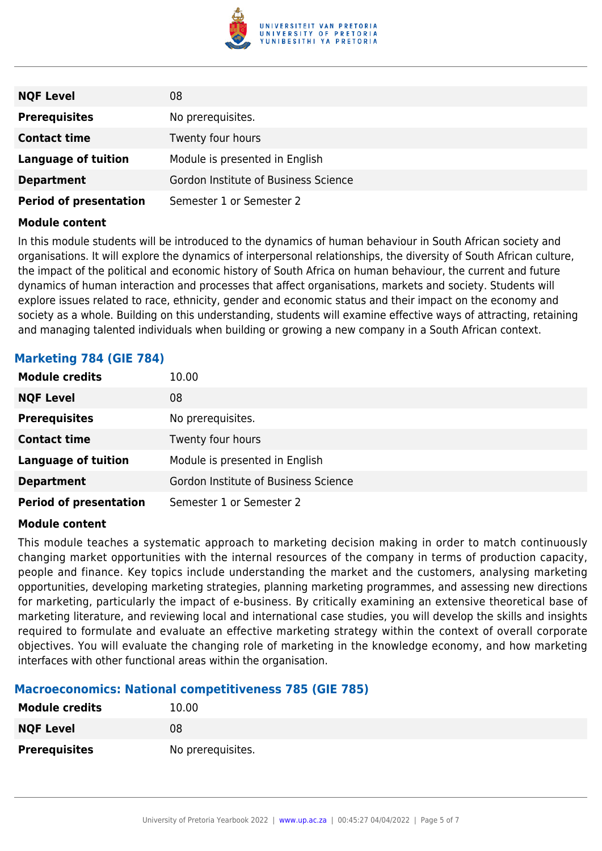

| <b>NQF Level</b>              | 08                                   |
|-------------------------------|--------------------------------------|
| <b>Prerequisites</b>          | No prerequisites.                    |
| <b>Contact time</b>           | Twenty four hours                    |
| <b>Language of tuition</b>    | Module is presented in English       |
| <b>Department</b>             | Gordon Institute of Business Science |
| <b>Period of presentation</b> | Semester 1 or Semester 2             |

In this module students will be introduced to the dynamics of human behaviour in South African society and organisations. It will explore the dynamics of interpersonal relationships, the diversity of South African culture, the impact of the political and economic history of South Africa on human behaviour, the current and future dynamics of human interaction and processes that affect organisations, markets and society. Students will explore issues related to race, ethnicity, gender and economic status and their impact on the economy and society as a whole. Building on this understanding, students will examine effective ways of attracting, retaining and managing talented individuals when building or growing a new company in a South African context.

### **Marketing 784 (GIE 784)**

| <b>Module credits</b>         | 10.00                                |
|-------------------------------|--------------------------------------|
| <b>NQF Level</b>              | 08                                   |
| <b>Prerequisites</b>          | No prerequisites.                    |
| <b>Contact time</b>           | Twenty four hours                    |
| <b>Language of tuition</b>    | Module is presented in English       |
| <b>Department</b>             | Gordon Institute of Business Science |
| <b>Period of presentation</b> | Semester 1 or Semester 2             |

#### **Module content**

This module teaches a systematic approach to marketing decision making in order to match continuously changing market opportunities with the internal resources of the company in terms of production capacity, people and finance. Key topics include understanding the market and the customers, analysing marketing opportunities, developing marketing strategies, planning marketing programmes, and assessing new directions for marketing, particularly the impact of e-business. By critically examining an extensive theoretical base of marketing literature, and reviewing local and international case studies, you will develop the skills and insights required to formulate and evaluate an effective marketing strategy within the context of overall corporate objectives. You will evaluate the changing role of marketing in the knowledge economy, and how marketing interfaces with other functional areas within the organisation.

#### **Macroeconomics: National competitiveness 785 (GIE 785)**

| <b>Module credits</b> | 10.00             |
|-----------------------|-------------------|
| <b>NQF Level</b>      | 08                |
| <b>Prerequisites</b>  | No prerequisites. |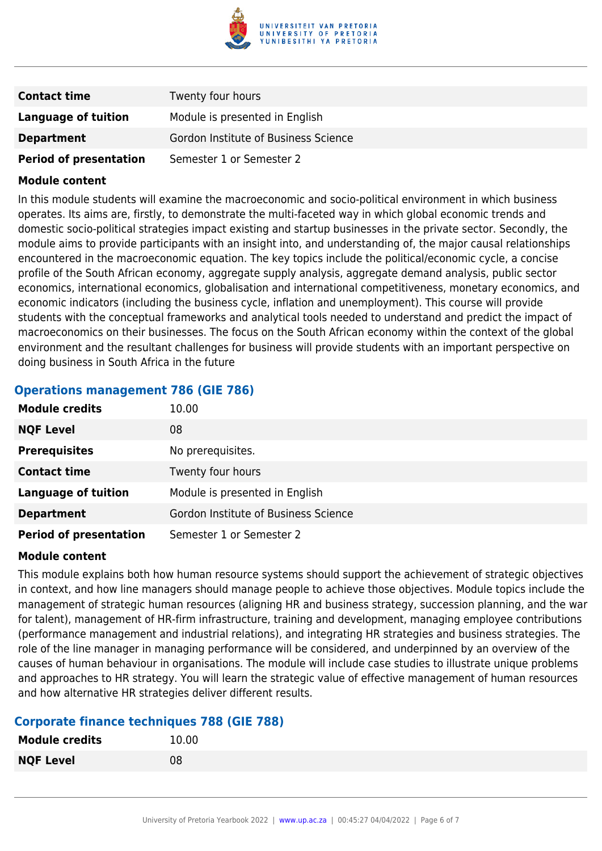

| <b>Contact time</b>           | Twenty four hours                    |
|-------------------------------|--------------------------------------|
| Language of tuition           | Module is presented in English       |
| <b>Department</b>             | Gordon Institute of Business Science |
| <b>Period of presentation</b> | Semester 1 or Semester 2             |

In this module students will examine the macroeconomic and socio-political environment in which business operates. Its aims are, firstly, to demonstrate the multi-faceted way in which global economic trends and domestic socio-political strategies impact existing and startup businesses in the private sector. Secondly, the module aims to provide participants with an insight into, and understanding of, the major causal relationships encountered in the macroeconomic equation. The key topics include the political/economic cycle, a concise profile of the South African economy, aggregate supply analysis, aggregate demand analysis, public sector economics, international economics, globalisation and international competitiveness, monetary economics, and economic indicators (including the business cycle, inflation and unemployment). This course will provide students with the conceptual frameworks and analytical tools needed to understand and predict the impact of macroeconomics on their businesses. The focus on the South African economy within the context of the global environment and the resultant challenges for business will provide students with an important perspective on doing business in South Africa in the future

### **Operations management 786 (GIE 786)**

| <b>Module credits</b>         | 10.00                                |
|-------------------------------|--------------------------------------|
| <b>NQF Level</b>              | 08                                   |
| <b>Prerequisites</b>          | No prerequisites.                    |
| <b>Contact time</b>           | Twenty four hours                    |
| <b>Language of tuition</b>    | Module is presented in English       |
| <b>Department</b>             | Gordon Institute of Business Science |
| <b>Period of presentation</b> | Semester 1 or Semester 2             |

#### **Module content**

This module explains both how human resource systems should support the achievement of strategic objectives in context, and how line managers should manage people to achieve those objectives. Module topics include the management of strategic human resources (aligning HR and business strategy, succession planning, and the war for talent), management of HR-firm infrastructure, training and development, managing employee contributions (performance management and industrial relations), and integrating HR strategies and business strategies. The role of the line manager in managing performance will be considered, and underpinned by an overview of the causes of human behaviour in organisations. The module will include case studies to illustrate unique problems and approaches to HR strategy. You will learn the strategic value of effective management of human resources and how alternative HR strategies deliver different results.

### **Corporate finance techniques 788 (GIE 788)**

| <b>Module credits</b> | 10.00 |
|-----------------------|-------|
| <b>NQF Level</b>      | 08    |